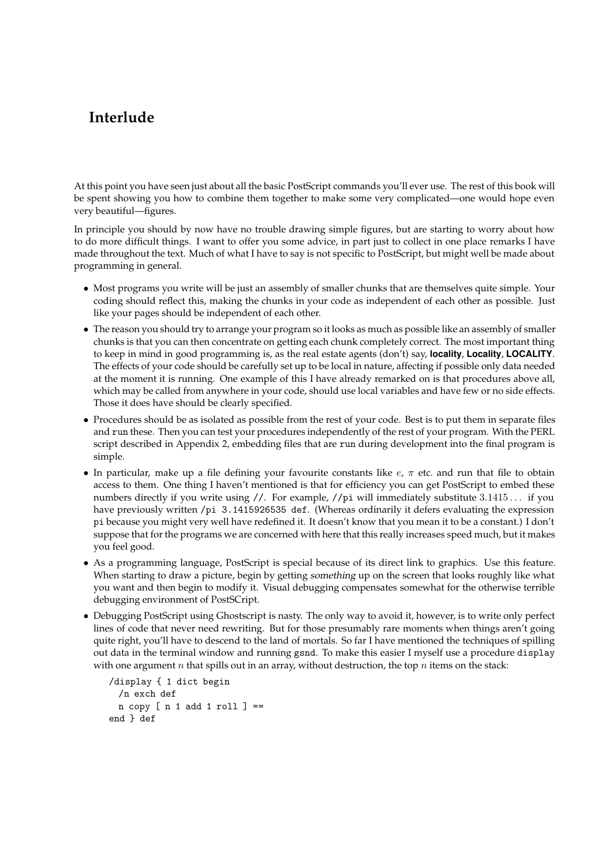## Interlude

At this point you have seen just about all the basic PostScript commands you'll ever use. The rest of this book will be spent showing you how to combine them together to make some very complicated—one would hope even very beautiful—figures.

In principle you should by now have no trouble drawing simple figures, but are starting to worry about how to do more difficult things. I want to offer you some advice, in part just to collect in one place remarks I have made throughout the text. Much of what I have to say is not specific to PostScript, but might well be made about programming in general.

- Most programs you write will be just an assembly of smaller chunks that are themselves quite simple. Your coding should reflect this, making the chunks in your code as independent of each other as possible. Just like your pages should be independent of each other.
- The reason you should try to arrange your program so it looks as much as possible like an assembly of smaller chunks is that you can then concentrate on getting each chunk completely correct. The most important thing to keep in mind in good programming is, as the real estate agents (don't) say, locality, Locality, LOCALITY. The effects of your code should be carefully set up to be local in nature, affecting if possible only data needed at the moment it is running. One example of this I have already remarked on is that procedures above all, which may be called from anywhere in your code, should use local variables and have few or no side effects. Those it does have should be clearly specified.
- Procedures should be as isolated as possible from the rest of your code. Best is to put them in separate files and run these. Then you can test your procedures independently of the rest of your program. With the PERL script described in Appendix 2, embedding files that are run during development into the final program is simple.
- In particular, make up a file defining your favourite constants like  $e$ ,  $\pi$  etc. and run that file to obtain access to them. One thing I haven't mentioned is that for efficiency you can get PostScript to embed these numbers directly if you write using //. For example, //pi will immediately substitute 3.1415 . . . if you have previously written /pi 3.1415926535 def. (Whereas ordinarily it defers evaluating the expression pi because you might very well have redefined it. It doesn't know that you mean it to be a constant.) I don't suppose that for the programs we are concerned with here that this really increases speed much, but it makes you feel good.
- As a programming language, PostScript is special because of its direct link to graphics. Use this feature. When starting to draw a picture, begin by getting something up on the screen that looks roughly like what you want and then begin to modify it. Visual debugging compensates somewhat for the otherwise terrible debugging environment of PostSCript.
- Debugging PostScript using Ghostscript is nasty. The only way to avoid it, however, is to write only perfect lines of code that never need rewriting. But for those presumably rare moments when things aren't going quite right, you'll have to descend to the land of mortals. So far I have mentioned the techniques of spilling out data in the terminal window and running gsnd. To make this easier I myself use a procedure display with one argument  $n$  that spills out in an array, without destruction, the top  $n$  items on the stack:

```
/display { 1 dict begin
/n exch def
n copy [n 1] add 1 roll ] ==end } def
```